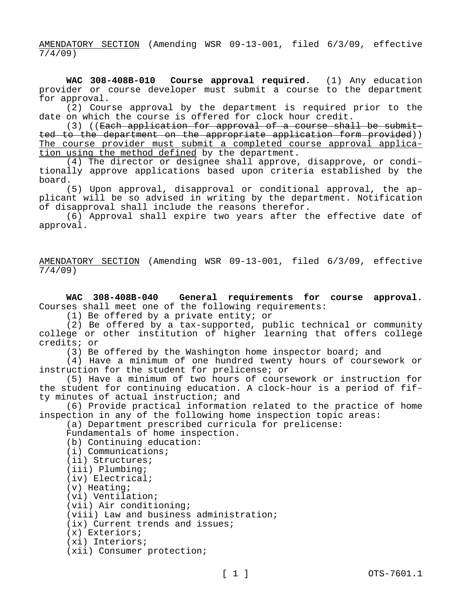AMENDATORY SECTION (Amending WSR 09-13-001, filed 6/3/09, effective 7/4/09)

**WAC 308-408B-010 Course approval required.** (1) Any education provider or course developer must submit a course to the department for approval.

(2) Course approval by the department is required prior to the date on which the course is offered for clock hour credit.

(3) ((Each application for approval of a course shall be submitted to the department on the appropriate application form provided)) The course provider must submit a completed course approval application using the method defined by the department.

(4) The director or designee shall approve, disapprove, or conditionally approve applications based upon criteria established by the board.

(5) Upon approval, disapproval or conditional approval, the applicant will be so advised in writing by the department. Notification of disapproval shall include the reasons therefor.

(6) Approval shall expire two years after the effective date of approval.

AMENDATORY SECTION (Amending WSR 09-13-001, filed 6/3/09, effective 7/4/09)

**WAC 308-408B-040 General requirements for course approval.**  Courses shall meet one of the following requirements:

(1) Be offered by a private entity; or

(2) Be offered by a tax-supported, public technical or community college or other institution of higher learning that offers college credits; or

(3) Be offered by the Washington home inspector board; and

(4) Have a minimum of one hundred twenty hours of coursework or instruction for the student for prelicense; or

(5) Have a minimum of two hours of coursework or instruction for the student for continuing education. A clock-hour is a period of fifty minutes of actual instruction; and

(6) Provide practical information related to the practice of home inspection in any of the following home inspection topic areas:

(a) Department prescribed curricula for prelicense:

Fundamentals of home inspection.

(b) Continuing education:

- (i) Communications;
- (ii) Structures;
- (iii) Plumbing;
- (iv) Electrical;
- (v) Heating;
- (vi) Ventilation;
- (vii) Air conditioning;
- (viii) Law and business administration;
- (ix) Current trends and issues;
- (x) Exteriors;
- (xi) Interiors;

(xii) Consumer protection;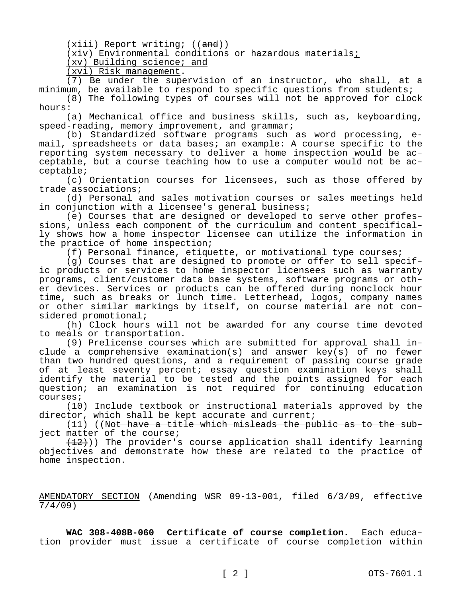(xiii) Report writing; ((and))

(xiv) Environmental conditions or hazardous materials;

(xv) Building science; and

(xvi) Risk management.

(7) Be under the supervision of an instructor, who shall, at a minimum, be available to respond to specific questions from students;

(8) The following types of courses will not be approved for clock hours:

(a) Mechanical office and business skills, such as, keyboarding, speed-reading, memory improvement, and grammar;

(b) Standardized software programs such as word processing, email, spreadsheets or data bases; an example: A course specific to the reporting system necessary to deliver a home inspection would be acceptable, but a course teaching how to use a computer would not be acceptable;

(c) Orientation courses for licensees, such as those offered by trade associations;

(d) Personal and sales motivation courses or sales meetings held in conjunction with a licensee's general business;

(e) Courses that are designed or developed to serve other professions, unless each component of the curriculum and content specifically shows how a home inspector licensee can utilize the information in the practice of home inspection;

(f) Personal finance, etiquette, or motivational type courses;

(g) Courses that are designed to promote or offer to sell specific products or services to home inspector licensees such as warranty programs, client/customer data base systems, software programs or other devices. Services or products can be offered during nonclock hour time, such as breaks or lunch time. Letterhead, logos, company names or other similar markings by itself, on course material are not considered promotional;

(h) Clock hours will not be awarded for any course time devoted to meals or transportation.

(9) Prelicense courses which are submitted for approval shall include a comprehensive examination(s) and answer key(s) of no fewer than two hundred questions, and a requirement of passing course grade of at least seventy percent; essay question examination keys shall identify the material to be tested and the points assigned for each question; an examination is not required for continuing education courses;

(10) Include textbook or instructional materials approved by the director, which shall be kept accurate and current;

(11) ((Not have a title which misleads the public as to the subject matter of the course;

(12))) The provider's course application shall identify learning objectives and demonstrate how these are related to the practice of home inspection.

AMENDATORY SECTION (Amending WSR 09-13-001, filed 6/3/09, effective 7/4/09)

**WAC 308-408B-060 Certificate of course completion.** Each education provider must issue a certificate of course completion within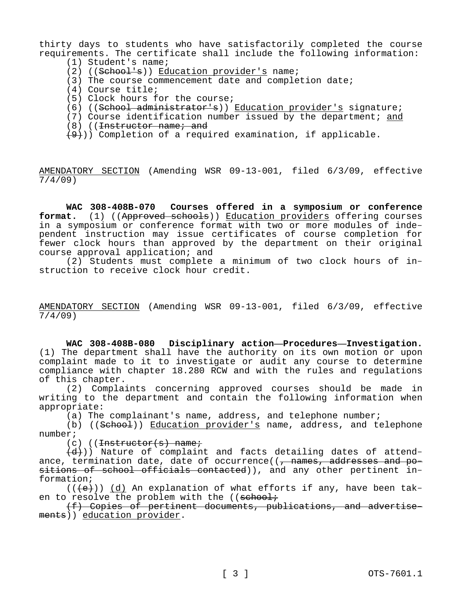thirty days to students who have satisfactorily completed the course requirements. The certificate shall include the following information:

- (1) Student's name;
- (2) ((School's)) Education provider's name;
- (3) The course commencement date and completion date;
- (4) Course title;
- (5) Clock hours for the course;
- (6) ((School administrator's)) Education provider's signature;
- (7) Course identification number issued by the department; and
- (8) ((<del>Instructor name; and</del>

 $(9)$ )) Completion of a required examination, if applicable.

AMENDATORY SECTION (Amending WSR 09-13-001, filed 6/3/09, effective 7/4/09)

**WAC 308-408B-070 Courses offered in a symposium or conference format.** (1) ((Approved schools)) Education providers offering courses in a symposium or conference format with two or more modules of independent instruction may issue certificates of course completion for fewer clock hours than approved by the department on their original course approval application; and

(2) Students must complete a minimum of two clock hours of instruction to receive clock hour credit.

AMENDATORY SECTION (Amending WSR 09-13-001, filed 6/3/09, effective 7/4/09)

**WAC 308-408B-080 Disciplinary action—Procedures—Investigation.**  (1) The department shall have the authority on its own motion or upon complaint made to it to investigate or audit any course to determine compliance with chapter 18.280 RCW and with the rules and regulations of this chapter.

(2) Complaints concerning approved courses should be made in writing to the department and contain the following information when appropriate:

(a) The complainant's name, address, and telephone number;

(b) ((School)) Education provider's name, address, and telephone number;

 $(c)$  ((<del>Instructor(s) name;</del>

 $(d)$ )) Nature of complaint and facts detailing dates of attendance, termination date, date of occurrence( $($ , names, addresses and positions of school officials contacted)), and any other pertinent information;

 $((\langle e \rangle))$  (d) An explanation of what efforts if any, have been taken to resolve the problem with the  $($  (sehool;

(f) Copies of pertinent documents, publications, and advertisements)) education provider.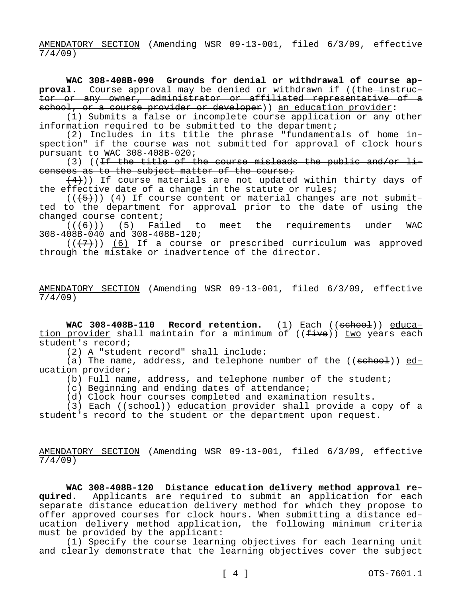AMENDATORY SECTION (Amending WSR 09-13-001, filed 6/3/09, effective 7/4/09)

**WAC 308-408B-090 Grounds for denial or withdrawal of course approval.** Course approval may be denied or withdrawn if ((the instructor or any owner, administrator or affiliated representative of a school, or a course provider or developer)) an education provider:

(1) Submits a false or incomplete course application or any other information required to be submitted to the department;

(2) Includes in its title the phrase "fundamentals of home inspection" if the course was not submitted for approval of clock hours pursuant to WAC 308-408B-020;

(3) ((If the title of the course misleads the public and/or licensees as to the subject matter of the course;

 $(4)$ )) If course materials are not updated within thirty days of the effective date of a change in the statute or rules;

 $((+5))$  (4) If course content or material changes are not submitted to the department for approval prior to the date of using the changed course content;

 $((+6))$  (5) Failed to meet the requirements under WAC 308-408B-040 and 308-408B-120;

 $((+7))$  (6) If a course or prescribed curriculum was approved through the mistake or inadvertence of the director.

AMENDATORY SECTION (Amending WSR 09-13-001, filed 6/3/09, effective 7/4/09)

WAC 308-408B-110 Record retention. (1) Each ((school)) education provider shall maintain for a minimum of ((five)) two years each student's record;

(2) A "student record" shall include:

(a) The name, address, and telephone number of the ((school)) education provider;

(b) Full name, address, and telephone number of the student;

(c) Beginning and ending dates of attendance;

(d) Clock hour courses completed and examination results.

(3) Each ((school)) education provider shall provide a copy of a student's record to the student or the department upon request.

AMENDATORY SECTION (Amending WSR 09-13-001, filed 6/3/09, effective 7/4/09)

**WAC 308-408B-120 Distance education delivery method approval required.** Applicants are required to submit an application for each separate distance education delivery method for which they propose to offer approved courses for clock hours. When submitting a distance education delivery method application, the following minimum criteria must be provided by the applicant:

(1) Specify the course learning objectives for each learning unit and clearly demonstrate that the learning objectives cover the subject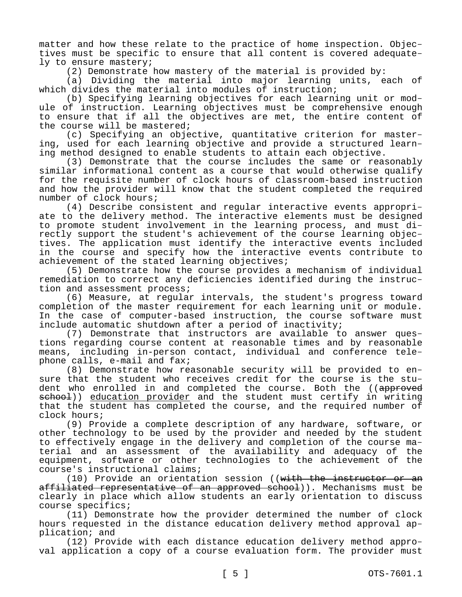matter and how these relate to the practice of home inspection. Objectives must be specific to ensure that all content is covered adequately to ensure mastery;

(2) Demonstrate how mastery of the material is provided by:

(a) Dividing the material into major learning units, each of which divides the material into modules of instruction;

(b) Specifying learning objectives for each learning unit or module of instruction. Learning objectives must be comprehensive enough to ensure that if all the objectives are met, the entire content of the course will be mastered;

(c) Specifying an objective, quantitative criterion for mastering, used for each learning objective and provide a structured learning method designed to enable students to attain each objective.

(3) Demonstrate that the course includes the same or reasonably similar informational content as a course that would otherwise qualify for the requisite number of clock hours of classroom-based instruction and how the provider will know that the student completed the required number of clock hours;

(4) Describe consistent and regular interactive events appropriate to the delivery method. The interactive elements must be designed to promote student involvement in the learning process, and must directly support the student's achievement of the course learning objectives. The application must identify the interactive events included in the course and specify how the interactive events contribute to achievement of the stated learning objectives;

(5) Demonstrate how the course provides a mechanism of individual remediation to correct any deficiencies identified during the instruction and assessment process;

(6) Measure, at regular intervals, the student's progress toward completion of the master requirement for each learning unit or module. In the case of computer-based instruction, the course software must include automatic shutdown after a period of inactivity;

(7) Demonstrate that instructors are available to answer questions regarding course content at reasonable times and by reasonable means, including in-person contact, individual and conference telephone calls, e-mail and fax;

(8) Demonstrate how reasonable security will be provided to ensure that the student who receives credit for the course is the student who enrolled in and completed the course. Both the ((approved school)) education provider and the student must certify in writing that the student has completed the course, and the required number of clock hours;

(9) Provide a complete description of any hardware, software, or other technology to be used by the provider and needed by the student to effectively engage in the delivery and completion of the course material and an assessment of the availability and adequacy of the equipment, software or other technologies to the achievement of the course's instructional claims;

(10) Provide an orientation session ((with the instructor or an affiliated representative of an approved school)). Mechanisms must be clearly in place which allow students an early orientation to discuss course specifics;

(11) Demonstrate how the provider determined the number of clock hours requested in the distance education delivery method approval application; and

(12) Provide with each distance education delivery method approval application a copy of a course evaluation form. The provider must